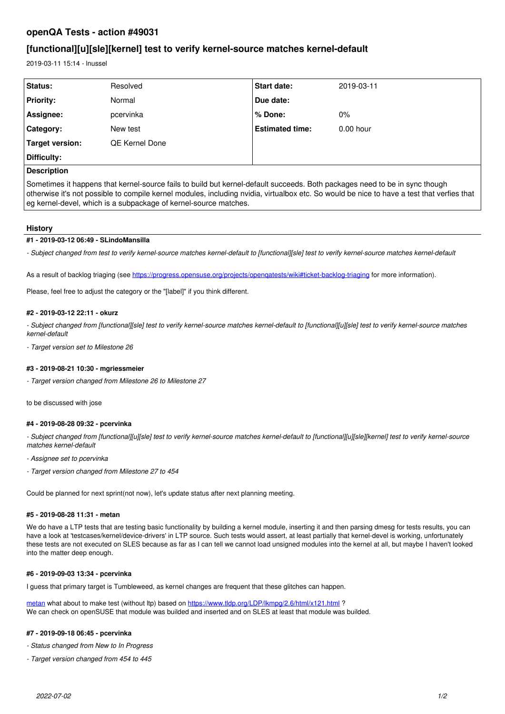# **openQA Tests - action #49031**

# **[functional][u][sle][kernel] test to verify kernel-source matches kernel-default**

2019-03-11 15:14 - lnussel

| Status:            | Resolved       | <b>Start date:</b>     | 2019-03-11  |
|--------------------|----------------|------------------------|-------------|
| <b>Priority:</b>   | Normal         | Due date:              |             |
| Assignee:          | pcervinka      | l % Done:              | $0\%$       |
| Category:          | New test       | <b>Estimated time:</b> | $0.00$ hour |
| Target version:    | QE Kernel Done |                        |             |
| Difficulty:        |                |                        |             |
| <b>Description</b> |                |                        |             |

Sometimes it happens that kernel-source fails to build but kernel-default succeeds. Both packages need to be in sync though otherwise it's not possible to compile kernel modules, including nvidia, virtualbox etc. So would be nice to have a test that verfies that eg kernel-devel, which is a subpackage of kernel-source matches.

## **History**

## **#1 - 2019-03-12 06:49 - SLindoMansilla**

*- Subject changed from test to verify kernel-source matches kernel-default to [functional][sle] test to verify kernel-source matches kernel-default*

As a result of backlog triaging (see<https://progress.opensuse.org/projects/openqatests/wiki#ticket-backlog-triaging>for more information).

Please, feel free to adjust the category or the "[label]" if you think different.

#### **#2 - 2019-03-12 22:11 - okurz**

*- Subject changed from [functional][sle] test to verify kernel-source matches kernel-default to [functional][u][sle] test to verify kernel-source matches kernel-default*

*- Target version set to Milestone 26*

## **#3 - 2019-08-21 10:30 - mgriessmeier**

*- Target version changed from Milestone 26 to Milestone 27*

to be discussed with jose

## **#4 - 2019-08-28 09:32 - pcervinka**

*- Subject changed from [functional][u][sle] test to verify kernel-source matches kernel-default to [functional][u][sle][kernel] test to verify kernel-source matches kernel-default*

- *Assignee set to pcervinka*
- *Target version changed from Milestone 27 to 454*

Could be planned for next sprint(not now), let's update status after next planning meeting.

## **#5 - 2019-08-28 11:31 - metan**

We do have a LTP tests that are testing basic functionality by building a kernel module, inserting it and then parsing dmesg for tests results, you can have a look at 'testcases/kernel/device-drivers' in LTP source. Such tests would assert, at least partially that kernel-devel is working, unfortunately these tests are not executed on SLES because as far as I can tell we cannot load unsigned modules into the kernel at all, but maybe I haven't looked into the matter deep enough.

#### **#6 - 2019-09-03 13:34 - pcervinka**

I guess that primary target is Tumbleweed, as kernel changes are frequent that these glitches can happen.

[metan](progress.opensuse.org/users/23360) what about to make test (without ltp) based on <https://www.tldp.org/LDP/lkmpg/2.6/html/x121.html>? We can check on openSUSE that module was builded and inserted and on SLES at least that module was builded.

#### **#7 - 2019-09-18 06:45 - pcervinka**

- *Status changed from New to In Progress*
- *Target version changed from 454 to 445*